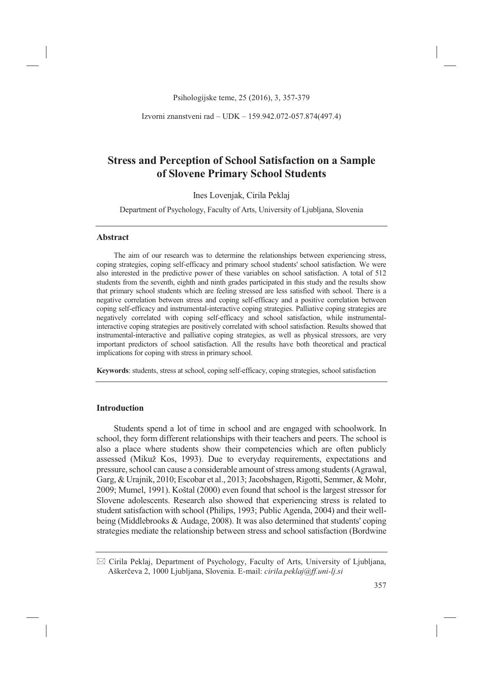Izvorni znanstveni rad – UDK – 159.942.072-057.874(497.4)

# **Stress and Perception of School Satisfaction on a Sample of Slovene Primary School Students**

Ines Lovenjak, Cirila Peklaj

Department of Psychology, Faculty of Arts, University of Ljubljana, Slovenia

### **Abstract**

The aim of our research was to determine the relationships between experiencing stress, coping strategies, coping self-efficacy and primary school students' school satisfaction. We were also interested in the predictive power of these variables on school satisfaction. A total of 512 students from the seventh, eighth and ninth grades participated in this study and the results show that primary school students which are feeling stressed are less satisfied with school. There is a negative correlation between stress and coping self-efficacy and a positive correlation between coping self-efficacy and instrumental-interactive coping strategies. Palliative coping strategies are negatively correlated with coping self-efficacy and school satisfaction, while instrumentalinteractive coping strategies are positively correlated with school satisfaction. Results showed that instrumental-interactive and palliative coping strategies, as well as physical stressors, are very important predictors of school satisfaction. All the results have both theoretical and practical implications for coping with stress in primary school.

**Keywords**: students, stress at school, coping self-efficacy, coping strategies, school satisfaction

# **Introduction**

Students spend a lot of time in school and are engaged with schoolwork. In school, they form different relationships with their teachers and peers. The school is also a place where students show their competencies which are often publicly assessed (Mikuž Kos, 1993). Due to everyday requirements, expectations and pressure, school can cause a considerable amount of stress among students (Agrawal, Garg, & Urajnik, 2010; Escobar et al., 2013; Jacobshagen, Rigotti, Semmer, & Mohr, 2009; Mumel, 1991). Koštal (2000) even found that school is the largest stressor for Slovene adolescents. Research also showed that experiencing stress is related to student satisfaction with school (Philips, 1993; Public Agenda, 2004) and their wellbeing (Middlebrooks & Audage, 2008). It was also determined that students' coping strategies mediate the relationship between stress and school satisfaction (Bordwine

<sup>-</sup> Cirila Peklaj, Department of Psychology, Faculty of Arts, University of Ljubljana, Aškerčeva 2, 1000 Ljubljana, Slovenia. E-mail: *cirila.peklaj@ff.uni-lj.si*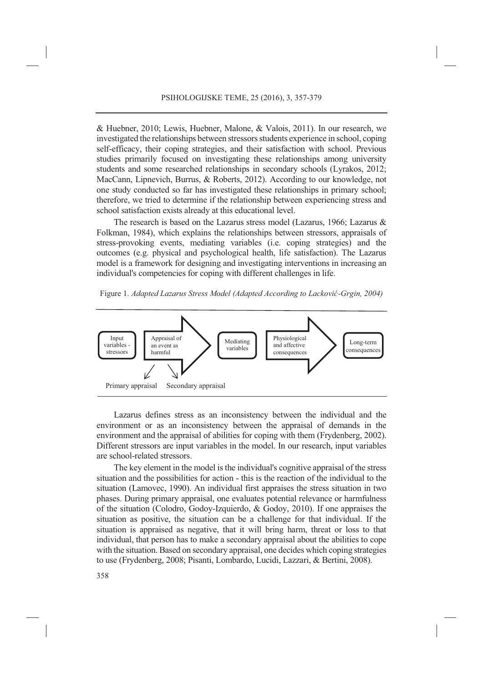& Huebner, 2010; Lewis, Huebner, Malone, & Valois, 2011). In our research, we investigated the relationships between stressors students experience in school, coping self-efficacy, their coping strategies, and their satisfaction with school. Previous studies primarily focused on investigating these relationships among university students and some researched relationships in secondary schools (Lyrakos, 2012; MacCann, Lipnevich, Burrus, & Roberts, 2012). According to our knowledge, not one study conducted so far has investigated these relationships in primary school; therefore, we tried to determine if the relationship between experiencing stress and school satisfaction exists already at this educational level.

The research is based on the Lazarus stress model (Lazarus, 1966; Lazarus & Folkman, 1984), which explains the relationships between stressors, appraisals of stress-provoking events, mediating variables (i.e. coping strategies) and the outcomes (e.g. physical and psychological health, life satisfaction). The Lazarus model is a framework for designing and investigating interventions in increasing an individual's competencies for coping with different challenges in life.

Figure 1. *Adapted Lazarus Stress Model (Adapted According to Lacković-Grgin, 2004)*



Lazarus defines stress as an inconsistency between the individual and the environment or as an inconsistency between the appraisal of demands in the environment and the appraisal of abilities for coping with them (Frydenberg, 2002). Different stressors are input variables in the model. In our research, input variables are school-related stressors.

The key element in the model is the individual's cognitive appraisal of the stress situation and the possibilities for action - this is the reaction of the individual to the situation (Lamovec, 1990). An individual first appraises the stress situation in two phases. During primary appraisal, one evaluates potential relevance or harmfulness of the situation (Colodro, Godoy-Izquierdo, & Godoy, 2010). If one appraises the situation as positive, the situation can be a challenge for that individual. If the situation is appraised as negative, that it will bring harm, threat or loss to that individual, that person has to make a secondary appraisal about the abilities to cope with the situation. Based on secondary appraisal, one decides which coping strategies to use (Frydenberg, 2008; Pisanti, Lombardo, Lucidi, Lazzari, & Bertini, 2008).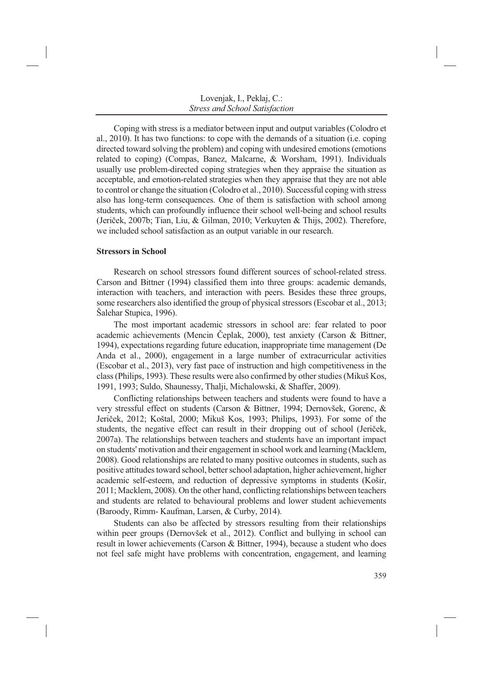Coping with stress is a mediator between input and output variables (Colodro et al., 2010). It has two functions: to cope with the demands of a situation (i.e. coping directed toward solving the problem) and coping with undesired emotions (emotions related to coping) (Compas, Banez, Malcarne, & Worsham, 1991). Individuals usually use problem-directed coping strategies when they appraise the situation as acceptable, and emotion-related strategies when they appraise that they are not able to control or change the situation (Colodro et al., 2010). Successful coping with stress also has long-term consequences. One of them is satisfaction with school among students, which can profoundly influence their school well-being and school results (Jeriček, 2007b; Tian, Liu, & Gilman, 2010; Verkuyten & Thijs, 2002). Therefore, we included school satisfaction as an output variable in our research.

### **Stressors in School**

Research on school stressors found different sources of school-related stress. Carson and Bittner (1994) classified them into three groups: academic demands, interaction with teachers, and interaction with peers. Besides these three groups, some researchers also identified the group of physical stressors (Escobar et al., 2013; Šalehar Stupica, 1996).

The most important academic stressors in school are: fear related to poor academic achievements (Mencin Čeplak, 2000), test anxiety (Carson & Bittner, 1994), expectations regarding future education, inappropriate time management (De Anda et al., 2000), engagement in a large number of extracurricular activities (Escobar et al., 2013), very fast pace of instruction and high competitiveness in the class (Philips, 1993). These results were also confirmed by other studies (Mikuš Kos, 1991, 1993; Suldo, Shaunessy, Thalji, Michalowski, & Shaffer, 2009).

Conflicting relationships between teachers and students were found to have a very stressful effect on students (Carson & Bittner, 1994; Dernovšek, Gorenc, & Jeriček, 2012; Koštal, 2000; Mikuš Kos, 1993; Philips, 1993). For some of the students, the negative effect can result in their dropping out of school (Jeriček, 2007a). The relationships between teachers and students have an important impact on students' motivation and their engagement in school work and learning (Macklem, 2008). Good relationships are related to many positive outcomes in students, such as positive attitudes toward school, better school adaptation, higher achievement, higher academic self-esteem, and reduction of depressive symptoms in students (Košir, 2011; Macklem, 2008). On the other hand, conflicting relationships between teachers and students are related to behavioural problems and lower student achievements (Baroody, Rimm- Kaufman, Larsen, & Curby, 2014).

Students can also be affected by stressors resulting from their relationships within peer groups (Dernovšek et al., 2012). Conflict and bullying in school can result in lower achievements (Carson & Bittner, 1994), because a student who does not feel safe might have problems with concentration, engagement, and learning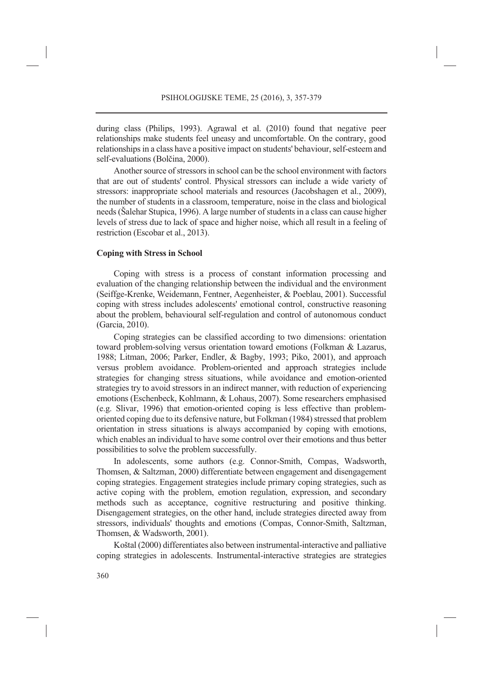during class (Philips, 1993). Agrawal et al. (2010) found that negative peer relationships make students feel uneasy and uncomfortable. On the contrary, good relationships in a class have a positive impact on students' behaviour, self-esteem and self-evaluations (Bolčina, 2000).

Another source of stressors in school can be the school environment with factors that are out of students' control. Physical stressors can include a wide variety of stressors: inappropriate school materials and resources (Jacobshagen et al., 2009), the number of students in a classroom, temperature, noise in the class and biological needs (Šalehar Stupica, 1996). A large number of students in a class can cause higher levels of stress due to lack of space and higher noise, which all result in a feeling of restriction (Escobar et al., 2013).

# **Coping with Stress in School**

Coping with stress is a process of constant information processing and evaluation of the changing relationship between the individual and the environment (Seiffge-Krenke, Weidemann, Fentner, Aegenheister, & Poeblau, 2001). Successful coping with stress includes adolescents' emotional control, constructive reasoning about the problem, behavioural self-regulation and control of autonomous conduct (Garcia, 2010).

Coping strategies can be classified according to two dimensions: orientation toward problem-solving versus orientation toward emotions (Folkman & Lazarus, 1988; Litman, 2006; Parker, Endler, & Bagby, 1993; Piko, 2001), and approach versus problem avoidance. Problem-oriented and approach strategies include strategies for changing stress situations, while avoidance and emotion-oriented strategies try to avoid stressors in an indirect manner, with reduction of experiencing emotions (Eschenbeck, Kohlmann, & Lohaus, 2007). Some researchers emphasised (e.g. Slivar, 1996) that emotion-oriented coping is less effective than problemoriented coping due to its defensive nature, but Folkman (1984) stressed that problem orientation in stress situations is always accompanied by coping with emotions, which enables an individual to have some control over their emotions and thus better possibilities to solve the problem successfully.

In adolescents, some authors (e.g. Connor-Smith, Compas, Wadsworth, Thomsen, & Saltzman, 2000) differentiate between engagement and disengagement coping strategies. Engagement strategies include primary coping strategies, such as active coping with the problem, emotion regulation, expression, and secondary methods such as acceptance, cognitive restructuring and positive thinking. Disengagement strategies, on the other hand, include strategies directed away from stressors, individuals' thoughts and emotions (Compas, Connor-Smith, Saltzman, Thomsen, & Wadsworth, 2001).

Koštal (2000) differentiates also between instrumental-interactive and palliative coping strategies in adolescents. Instrumental-interactive strategies are strategies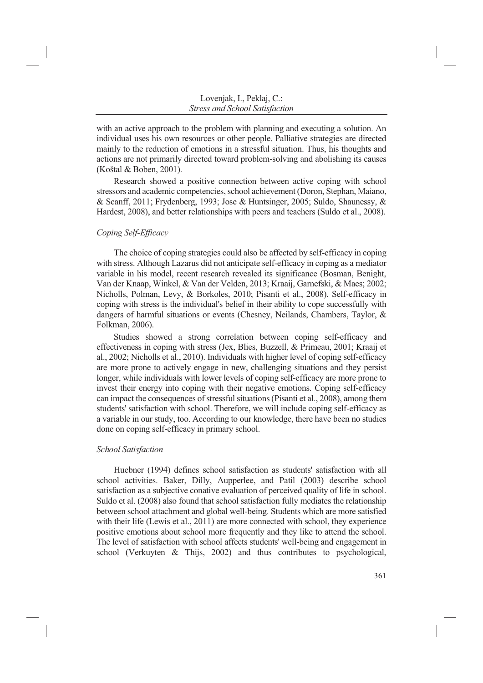with an active approach to the problem with planning and executing a solution. An individual uses his own resources or other people. Palliative strategies are directed mainly to the reduction of emotions in a stressful situation. Thus, his thoughts and actions are not primarily directed toward problem-solving and abolishing its causes (Koštal & Boben, 2001).

Research showed a positive connection between active coping with school stressors and academic competencies, school achievement (Doron, Stephan, Maiano, & Scanff, 2011; Frydenberg, 1993; Jose & Huntsinger, 2005; Suldo, Shaunessy, & Hardest, 2008), and better relationships with peers and teachers (Suldo et al., 2008).

# *Coping Self-Efficacy*

The choice of coping strategies could also be affected by self-efficacy in coping with stress. Although Lazarus did not anticipate self-efficacy in coping as a mediator variable in his model, recent research revealed its significance (Bosman, Benight, Van der Knaap, Winkel, & Van der Velden, 2013; Kraaij, Garnefski, & Maes; 2002; Nicholls, Polman, Levy, & Borkoles, 2010; Pisanti et al., 2008). Self-efficacy in coping with stress is the individual's belief in their ability to cope successfully with dangers of harmful situations or events (Chesney, Neilands, Chambers, Taylor, & Folkman, 2006).

Studies showed a strong correlation between coping self-efficacy and effectiveness in coping with stress (Jex, Blies, Buzzell, & Primeau, 2001; Kraaij et al., 2002; Nicholls et al., 2010). Individuals with higher level of coping self-efficacy are more prone to actively engage in new, challenging situations and they persist longer, while individuals with lower levels of coping self-efficacy are more prone to invest their energy into coping with their negative emotions. Coping self-efficacy can impact the consequences of stressful situations (Pisanti et al., 2008), among them students' satisfaction with school. Therefore, we will include coping self-efficacy as a variable in our study, too. According to our knowledge, there have been no studies done on coping self-efficacy in primary school.

# *School Satisfaction*

Huebner (1994) defines school satisfaction as students' satisfaction with all school activities. Baker, Dilly, Aupperlee, and Patil (2003) describe school satisfaction as a subjective conative evaluation of perceived quality of life in school. Suldo et al. (2008) also found that school satisfaction fully mediates the relationship between school attachment and global well-being. Students which are more satisfied with their life (Lewis et al., 2011) are more connected with school, they experience positive emotions about school more frequently and they like to attend the school. The level of satisfaction with school affects students' well-being and engagement in school (Verkuyten & Thijs, 2002) and thus contributes to psychological,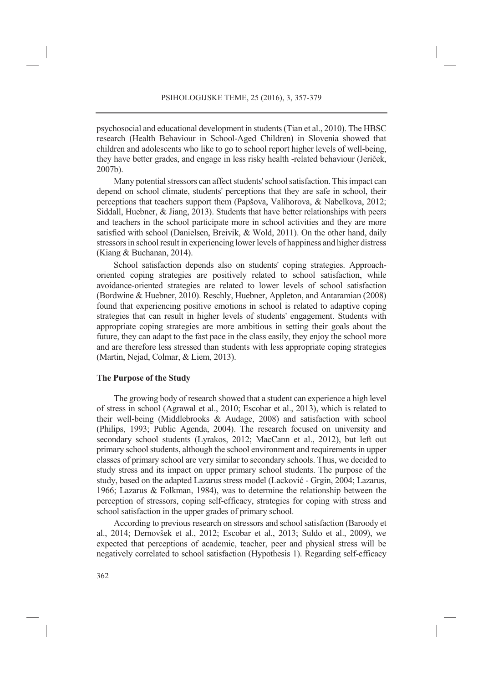psychosocial and educational development in students (Tian et al., 2010). The HBSC research (Health Behaviour in School-Aged Children) in Slovenia showed that children and adolescents who like to go to school report higher levels of well-being, they have better grades, and engage in less risky health -related behaviour (Jeriček, 2007b).

Many potential stressors can affect students' school satisfaction. This impact can depend on school climate, students' perceptions that they are safe in school, their perceptions that teachers support them (Papšova, Valihorova, & Nabelkova, 2012; Siddall, Huebner, & Jiang, 2013). Students that have better relationships with peers and teachers in the school participate more in school activities and they are more satisfied with school (Danielsen, Breivik, & Wold, 2011). On the other hand, daily stressors in school result in experiencing lower levels of happiness and higher distress (Kiang & Buchanan, 2014).

School satisfaction depends also on students' coping strategies. Approachoriented coping strategies are positively related to school satisfaction, while avoidance-oriented strategies are related to lower levels of school satisfaction (Bordwine & Huebner, 2010). Reschly, Huebner, Appleton, and Antaramian (2008) found that experiencing positive emotions in school is related to adaptive coping strategies that can result in higher levels of students' engagement. Students with appropriate coping strategies are more ambitious in setting their goals about the future, they can adapt to the fast pace in the class easily, they enjoy the school more and are therefore less stressed than students with less appropriate coping strategies (Martin, Nejad, Colmar, & Liem, 2013).

### **The Purpose of the Study**

The growing body of research showed that a student can experience a high level of stress in school (Agrawal et al., 2010; Escobar et al., 2013), which is related to their well-being (Middlebrooks & Audage, 2008) and satisfaction with school (Philips, 1993; Public Agenda, 2004). The research focused on university and secondary school students (Lyrakos, 2012; MacCann et al., 2012), but left out primary school students, although the school environment and requirements in upper classes of primary school are very similar to secondary schools. Thus, we decided to study stress and its impact on upper primary school students. The purpose of the study, based on the adapted Lazarus stress model (Lacković - Grgin, 2004; Lazarus, 1966; Lazarus & Folkman, 1984), was to determine the relationship between the perception of stressors, coping self-efficacy, strategies for coping with stress and school satisfaction in the upper grades of primary school.

According to previous research on stressors and school satisfaction (Baroody et al., 2014; Dernovšek et al., 2012; Escobar et al., 2013; Suldo et al., 2009), we expected that perceptions of academic, teacher, peer and physical stress will be negatively correlated to school satisfaction (Hypothesis 1). Regarding self-efficacy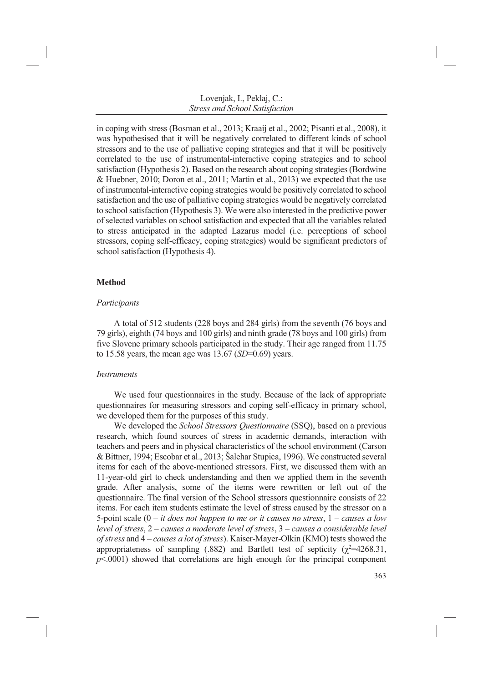in coping with stress (Bosman et al., 2013; Kraaij et al., 2002; Pisanti et al., 2008), it was hypothesised that it will be negatively correlated to different kinds of school stressors and to the use of palliative coping strategies and that it will be positively correlated to the use of instrumental-interactive coping strategies and to school satisfaction (Hypothesis 2). Based on the research about coping strategies (Bordwine & Huebner, 2010; Doron et al., 2011; Martin et al., 2013) we expected that the use of instrumental-interactive coping strategies would be positively correlated to school satisfaction and the use of palliative coping strategies would be negatively correlated to school satisfaction (Hypothesis 3). We were also interested in the predictive power of selected variables on school satisfaction and expected that all the variables related to stress anticipated in the adapted Lazarus model (i.e. perceptions of school stressors, coping self-efficacy, coping strategies) would be significant predictors of school satisfaction (Hypothesis 4).

# **Method**

# *Participants*

A total of 512 students (228 boys and 284 girls) from the seventh (76 boys and 79 girls), eighth (74 boys and 100 girls) and ninth grade (78 boys and 100 girls) from five Slovene primary schools participated in the study. Their age ranged from 11.75 to 15.58 years, the mean age was 13.67 (*SD*=0.69) years.

# *Instruments*

We used four questionnaires in the study. Because of the lack of appropriate questionnaires for measuring stressors and coping self-efficacy in primary school, we developed them for the purposes of this study.

We developed the *School Stressors Questionnaire* (SSQ), based on a previous research, which found sources of stress in academic demands, interaction with teachers and peers and in physical characteristics of the school environment (Carson & Bittner, 1994; Escobar et al., 2013; Šalehar Stupica, 1996). We constructed several items for each of the above-mentioned stressors. First, we discussed them with an 11-year-old girl to check understanding and then we applied them in the seventh grade. After analysis, some of the items were rewritten or left out of the questionnaire. The final version of the School stressors questionnaire consists of 22 items. For each item students estimate the level of stress caused by the stressor on a 5-point scale (0 – *it does not happen to me or it causes no stress*, 1 – *causes a low level of stress*, 2 – *causes a moderate level of stress*, 3 – *causes a considerable level of stress* and 4 – *causes a lot of stress*). Kaiser-Mayer-Olkin (KMO) tests showed the appropriateness of sampling (.882) and Bartlett test of septicity ( $\chi^2$ =4268.31,  $p$ <.0001) showed that correlations are high enough for the principal component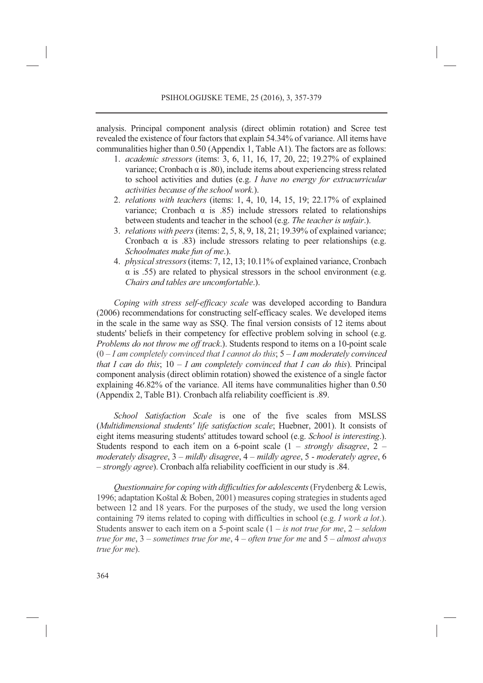analysis. Principal component analysis (direct oblimin rotation) and Scree test revealed the existence of four factors that explain 54.34% of variance. All items have communalities higher than 0.50 (Appendix 1, Table A1). The factors are as follows:

- 1. *academic stressors* (items: 3, 6, 11, 16, 17, 20, 22; 19.27% of explained variance; Cronbach α is .80), include items about experiencing stress related to school activities and duties (e.g. *I have no energy for extracurricular activities because of the school work.*).
- 2. *relations with teachers* (items: 1, 4, 10, 14, 15, 19; 22.17% of explained variance; Cronbach  $\alpha$  is .85) include stressors related to relationships between students and teacher in the school (e.g. *The teacher is unfair*.).
- 3. *relations with peers* (items: 2, 5, 8, 9, 18, 21; 19.39% of explained variance; Cronbach  $\alpha$  is .83) include stressors relating to peer relationships (e.g. *Schoolmates make fun of me*.).
- 4. *physical stressors* (items: 7, 12, 13; 10.11% of explained variance, Cronbach  $\alpha$  is .55) are related to physical stressors in the school environment (e.g. *Chairs and tables are uncomfortable*.).

*Coping with stress self-efficacy scale* was developed according to Bandura (2006) recommendations for constructing self-efficacy scales. We developed items in the scale in the same way as SSQ. The final version consists of 12 items about students' beliefs in their competency for effective problem solving in school (e.g. *Problems do not throw me off track*.). Students respond to items on a 10-point scale (0 – *I am completely convinced that I cannot do this*; 5 – *I am moderately convinced that I can do this*; 10 – *I am completely convinced that I can do this*). Principal component analysis (direct oblimin rotation) showed the existence of a single factor explaining 46.82% of the variance. All items have communalities higher than 0.50 (Appendix 2, Table B1). Cronbach alfa reliability coefficient is .89.

*School Satisfaction Scale* is one of the five scales from MSLSS (*Multidimensional students' life satisfaction scale*; Huebner, 2001). It consists of eight items measuring students' attitudes toward school (e.g. *School is interesting*.). Students respond to each item on a 6-point scale (1 – *strongly disagree*, 2 – *moderately disagree*, 3 – *mildly disagree*, 4 – *mildly agree*, 5 - *moderately agree*, 6 – *strongly agree*). Cronbach alfa reliability coefficient in our study is .84.

*Questionnaire for coping with difficulties for adolescents*(Frydenberg & Lewis, 1996; adaptation Koštal & Boben, 2001) measures coping strategies in students aged between 12 and 18 years. For the purposes of the study, we used the long version containing 79 items related to coping with difficulties in school (e.g. *I work a lot*.). Students answer to each item on a 5-point scale (1 – *is not true for me*, 2 – *seldom true for me*, 3 – *sometimes true for me*, 4 – *often true for me* and 5 – *almost always true for me*).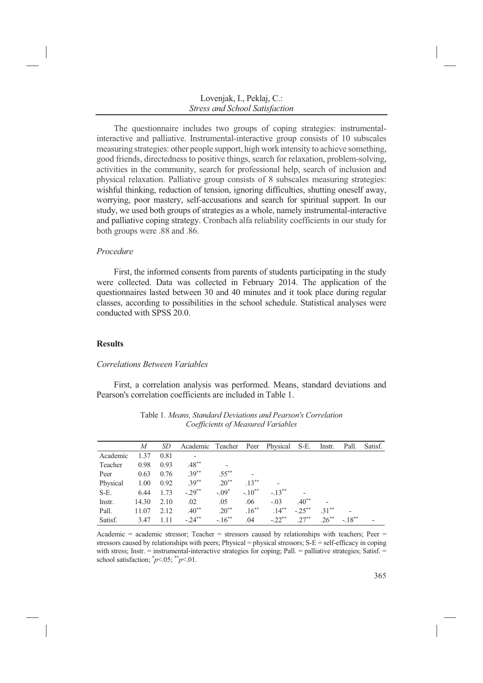The questionnaire includes two groups of coping strategies: instrumentalinteractive and palliative. Instrumental-interactive group consists of 10 subscales measuring strategies: other people support, high work intensity to achieve something, good friends, directedness to positive things, search for relaxation, problem-solving, activities in the community, search for professional help, search of inclusion and physical relaxation. Palliative group consists of 8 subscales measuring strategies: wishful thinking, reduction of tension, ignoring difficulties, shutting oneself away, worrying, poor mastery, self-accusations and search for spiritual support. In our study, we used both groups of strategies as a whole, namely instrumental-interactive and palliative coping strategy. Cronbach alfa reliability coefficients in our study for both groups were .88 and .86.

# *Procedure*

First, the informed consents from parents of students participating in the study were collected. Data was collected in February 2014. The application of the questionnaires lasted between 30 and 40 minutes and it took place during regular classes, according to possibilities in the school schedule. Statistical analyses were conducted with SPSS 20.0.

# **Results**

### *Correlations Between Variables*

First, a correlation analysis was performed. Means, standard deviations and Pearson's correlation coefficients are included in Table 1.

|          | M     | SD   | Academic Teacher Peer Physical S-E. |           |                          |           |            | Instr.   | Pall.   | Satisf. |
|----------|-------|------|-------------------------------------|-----------|--------------------------|-----------|------------|----------|---------|---------|
| Academic | 1.37  | 0.81 | $\overline{\phantom{a}}$            |           |                          |           |            |          |         |         |
| Teacher  | 0.98  | 0.93 | $.48***$                            |           |                          |           |            |          |         |         |
| Peer     | 0.63  | 0.76 | $.39***$                            | $.55***$  | $\overline{\phantom{a}}$ |           |            |          |         |         |
| Physical | 1.00  | 0.92 | $.39***$                            | $.20***$  | $.13***$                 |           |            |          |         |         |
| $S-E$ .  | 6.44  | 1.73 | $-.29**$                            | $-.09*$   | $-.10**$                 | $-.13***$ |            |          |         |         |
| Instr.   | 14.30 | 2.10 | .02                                 | .05       | .06                      | $-.03$    | $.40**$    |          |         |         |
| Pall.    | 11.07 | 2.12 | $.40**$                             | $.20**$   | $.16***$                 | $.14***$  | $-25^{**}$ | $31**$   |         |         |
| Satisf.  | 3.47  | 1.11 | $-.24***$                           | $-.16***$ | .04                      | $-.22***$ | $27**$     | $.26***$ | $-18**$ |         |

Table 1. *Means, Standard Deviations and Pearson's Correlation Coefficients of Measured Variables* 

Academic = academic stressor; Teacher = stressors caused by relationships with teachers; Peer = stressors caused by relationships with peers; Physical = physical stressors;  $S-E = \text{self-efficacy}$  in coping with stress; Instr. = instrumental-interactive strategies for coping; Pall. = palliative strategies; Satisf. = school satisfaction;  $\gamma p$ <.05;  $\gamma p$ <.01.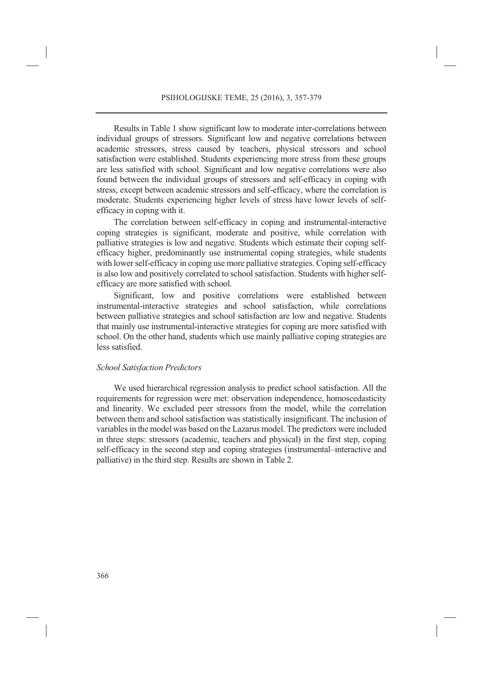Results in Table 1 show significant low to moderate inter-correlations between individual groups of stressors. Significant low and negative correlations between academic stressors, stress caused by teachers, physical stressors and school satisfaction were established. Students experiencing more stress from these groups are less satisfied with school. Significant and low negative correlations were also found between the individual groups of stressors and self-efficacy in coping with stress, except between academic stressors and self-efficacy, where the correlation is moderate. Students experiencing higher levels of stress have lower levels of selfefficacy in coping with it.

The correlation between self-efficacy in coping and instrumental-interactive coping strategies is significant, moderate and positive, while correlation with palliative strategies is low and negative. Students which estimate their coping selfefficacy higher, predominantly use instrumental coping strategies, while students with lower self-efficacy in coping use more palliative strategies. Coping self-efficacy is also low and positively correlated to school satisfaction. Students with higher selfefficacy are more satisfied with school.

Significant, low and positive correlations were established between instrumental-interactive strategies and school satisfaction, while correlations between palliative strategies and school satisfaction are low and negative. Students that mainly use instrumental-interactive strategies for coping are more satisfied with school. On the other hand, students which use mainly palliative coping strategies are less satisfied.

#### *School Satisfaction Predictors*

We used hierarchical regression analysis to predict school satisfaction. All the requirements for regression were met: observation independence, homoscedasticity and linearity. We excluded peer stressors from the model, while the correlation between them and school satisfaction was statistically insignificant. The inclusion of variables in the model was based on the Lazarus model. The predictors were included in three steps: stressors (academic, teachers and physical) in the first step, coping self-efficacy in the second step and coping strategies (instrumental–interactive and palliative) in the third step. Results are shown in Table 2.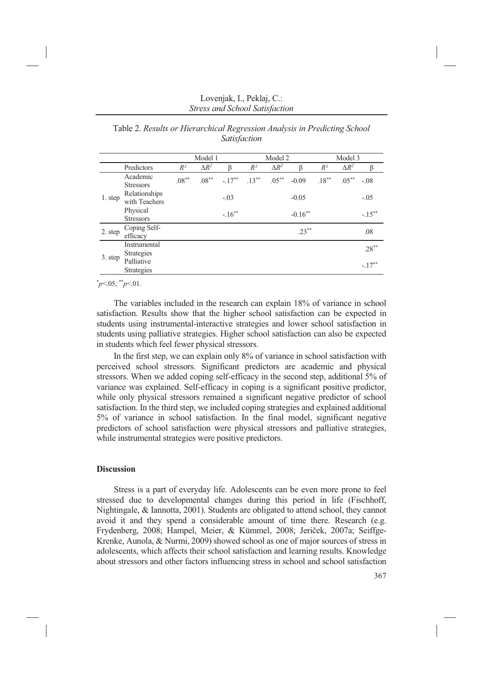|         |                                   | Model 1  |              |           | Model 2  |              |            | Model 3  |              |           |  |
|---------|-----------------------------------|----------|--------------|-----------|----------|--------------|------------|----------|--------------|-----------|--|
|         | Predictors                        | $R^2$    | $\Delta R^2$ | ß         | $R^2$    | $\Delta R^2$ | ß          | $R^2$    | $\Delta R^2$ | ß         |  |
| 1. step | Academic<br><b>Stressors</b>      | $.08***$ | $.08***$     | $-.17***$ | $.13***$ | $.05***$     | $-0.09$    | $.18***$ | $.05***$     | $-.08$    |  |
|         | Relationships<br>with Teachers    |          |              | $-.03$    |          |              | $-0.05$    |          |              | $-.05$    |  |
|         | Physical<br><b>Stressors</b>      |          |              | $-.16***$ |          |              | $-0.16***$ |          |              | $-.15***$ |  |
| 2. step | Coping Self-<br>efficacy          |          |              |           |          |              | $.23***$   |          |              | .08       |  |
| 3. step | Instrumental<br><b>Strategies</b> |          |              |           |          |              |            |          |              | $.28***$  |  |
|         | Palliative<br><b>Strategies</b>   |          |              |           |          |              |            |          |              | $-.17***$ |  |

Table 2. *Results or Hierarchical Regression Analysis in Predicting School Satisfaction* 

\* *p*<.05; \*\**p*<.01.

The variables included in the research can explain 18% of variance in school satisfaction. Results show that the higher school satisfaction can be expected in students using instrumental-interactive strategies and lower school satisfaction in students using palliative strategies. Higher school satisfaction can also be expected in students which feel fewer physical stressors.

In the first step, we can explain only 8% of variance in school satisfaction with perceived school stressors. Significant predictors are academic and physical stressors. When we added coping self-efficacy in the second step, additional 5% of variance was explained. Self-efficacy in coping is a significant positive predictor, while only physical stressors remained a significant negative predictor of school satisfaction. In the third step, we included coping strategies and explained additional 5% of variance in school satisfaction. In the final model, significant negative predictors of school satisfaction were physical stressors and palliative strategies, while instrumental strategies were positive predictors.

# **Discussion**

Stress is a part of everyday life. Adolescents can be even more prone to feel stressed due to developmental changes during this period in life (Fischhoff, Nightingale, & Iannotta, 2001). Students are obligated to attend school, they cannot avoid it and they spend a considerable amount of time there. Research (e.g. Frydenberg, 2008; Hampel, Meier, & Kümmel, 2008; Jeriček, 2007a; Seiffge-Krenke, Aunola, & Nurmi, 2009) showed school as one of major sources of stress in adolescents, which affects their school satisfaction and learning results. Knowledge about stressors and other factors influencing stress in school and school satisfaction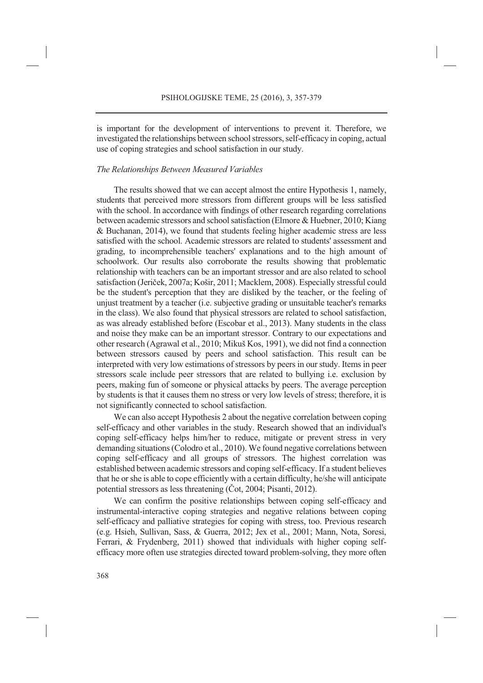is important for the development of interventions to prevent it. Therefore, we investigated the relationships between school stressors, self-efficacy in coping, actual use of coping strategies and school satisfaction in our study.

### *The Relationships Between Measured Variables*

The results showed that we can accept almost the entire Hypothesis 1, namely, students that perceived more stressors from different groups will be less satisfied with the school. In accordance with findings of other research regarding correlations between academic stressors and school satisfaction (Elmore & Huebner, 2010; Kiang & Buchanan, 2014), we found that students feeling higher academic stress are less satisfied with the school. Academic stressors are related to students' assessment and grading, to incomprehensible teachers' explanations and to the high amount of schoolwork. Our results also corroborate the results showing that problematic relationship with teachers can be an important stressor and are also related to school satisfaction (Jeriček, 2007a; Košir, 2011; Macklem, 2008). Especially stressful could be the student's perception that they are disliked by the teacher, or the feeling of unjust treatment by a teacher (i.e. subjective grading or unsuitable teacher's remarks in the class). We also found that physical stressors are related to school satisfaction, as was already established before (Escobar et al., 2013). Many students in the class and noise they make can be an important stressor. Contrary to our expectations and other research (Agrawal et al., 2010; Mikuš Kos, 1991), we did not find a connection between stressors caused by peers and school satisfaction. This result can be interpreted with very low estimations of stressors by peers in our study. Items in peer stressors scale include peer stressors that are related to bullying i.e. exclusion by peers, making fun of someone or physical attacks by peers. The average perception by students is that it causes them no stress or very low levels of stress; therefore, it is not significantly connected to school satisfaction.

We can also accept Hypothesis 2 about the negative correlation between coping self-efficacy and other variables in the study. Research showed that an individual's coping self-efficacy helps him/her to reduce, mitigate or prevent stress in very demanding situations (Colodro et al., 2010). We found negative correlations between coping self-efficacy and all groups of stressors. The highest correlation was established between academic stressors and coping self-efficacy. If a student believes that he or she is able to cope efficiently with a certain difficulty, he/she will anticipate potential stressors as less threatening (Čot, 2004; Pisanti, 2012).

We can confirm the positive relationships between coping self-efficacy and instrumental-interactive coping strategies and negative relations between coping self-efficacy and palliative strategies for coping with stress, too. Previous research (e.g. Hsieh, Sullivan, Sass, & Guerra, 2012; Jex et al., 2001; Mann, Nota, Soresi, Ferrari, & Frydenberg, 2011) showed that individuals with higher coping selfefficacy more often use strategies directed toward problem-solving, they more often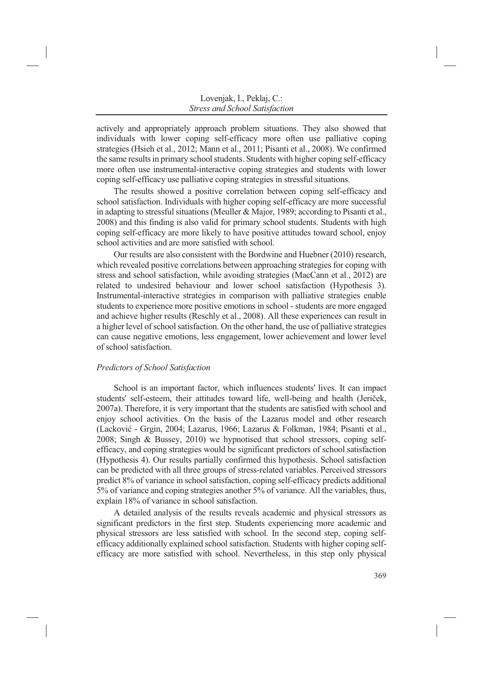actively and appropriately approach problem situations. They also showed that individuals with lower coping self-efficacy more often use palliative coping strategies (Hsieh et al., 2012; Mann et al., 2011; Pisanti et al., 2008). We confirmed the same results in primary school students. Students with higher coping self-efficacy more often use instrumental-interactive coping strategies and students with lower coping self-efficacy use palliative coping strategies in stressful situations.

The results showed a positive correlation between coping self-efficacy and school satisfaction. Individuals with higher coping self-efficacy are more successful in adapting to stressful situations (Meuller & Major, 1989; according to Pisanti et al., 2008) and this finding is also valid for primary school students. Students with high coping self-efficacy are more likely to have positive attitudes toward school, enjoy school activities and are more satisfied with school.

Our results are also consistent with the Bordwine and Huebner (2010) research, which revealed positive correlations between approaching strategies for coping with stress and school satisfaction, while avoiding strategies (MacCann et al., 2012) are related to undesired behaviour and lower school satisfaction (Hypothesis 3). Instrumental-interactive strategies in comparison with palliative strategies enable students to experience more positive emotions in school - students are more engaged and achieve higher results (Reschly et al., 2008). All these experiences can result in a higher level of school satisfaction. On the other hand, the use of palliative strategies can cause negative emotions, less engagement, lower achievement and lower level of school satisfaction.

### *Predictors of School Satisfaction*

School is an important factor, which influences students' lives. It can impact students' self-esteem, their attitudes toward life, well-being and health (Jeriček, 2007a). Therefore, it is very important that the students are satisfied with school and enjoy school activities. On the basis of the Lazarus model and other research (Lacković - Grgin, 2004; Lazarus, 1966; Lazarus & Folkman, 1984; Pisanti et al., 2008; Singh & Bussey, 2010) we hypnotised that school stressors, coping selfefficacy, and coping strategies would be significant predictors of school satisfaction (Hypothesis 4). Our results partially confirmed this hypothesis. School satisfaction can be predicted with all three groups of stress-related variables. Perceived stressors predict 8% of variance in school satisfaction, coping self-efficacy predicts additional 5% of variance and coping strategies another 5% of variance. All the variables, thus, explain 18% of variance in school satisfaction.

A detailed analysis of the results reveals academic and physical stressors as significant predictors in the first step. Students experiencing more academic and physical stressors are less satisfied with school. In the second step, coping selfefficacy additionally explained school satisfaction. Students with higher coping selfefficacy are more satisfied with school. Nevertheless, in this step only physical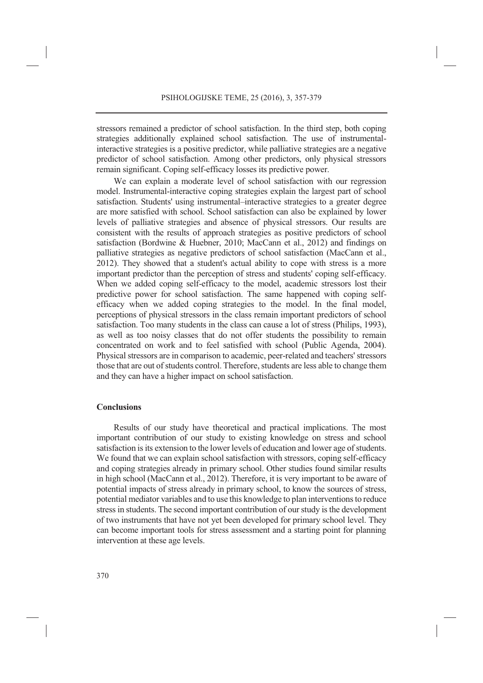stressors remained a predictor of school satisfaction. In the third step, both coping strategies additionally explained school satisfaction. The use of instrumentalinteractive strategies is a positive predictor, while palliative strategies are a negative predictor of school satisfaction. Among other predictors, only physical stressors remain significant. Coping self-efficacy losses its predictive power.

We can explain a moderate level of school satisfaction with our regression model. Instrumental-interactive coping strategies explain the largest part of school satisfaction. Students' using instrumental–interactive strategies to a greater degree are more satisfied with school. School satisfaction can also be explained by lower levels of palliative strategies and absence of physical stressors. Our results are consistent with the results of approach strategies as positive predictors of school satisfaction (Bordwine & Huebner, 2010; MacCann et al., 2012) and findings on palliative strategies as negative predictors of school satisfaction (MacCann et al., 2012). They showed that a student's actual ability to cope with stress is a more important predictor than the perception of stress and students' coping self-efficacy. When we added coping self-efficacy to the model, academic stressors lost their predictive power for school satisfaction. The same happened with coping selfefficacy when we added coping strategies to the model. In the final model, perceptions of physical stressors in the class remain important predictors of school satisfaction. Too many students in the class can cause a lot of stress (Philips, 1993), as well as too noisy classes that do not offer students the possibility to remain concentrated on work and to feel satisfied with school (Public Agenda, 2004). Physical stressors are in comparison to academic, peer-related and teachers' stressors those that are out of students control. Therefore, students are less able to change them and they can have a higher impact on school satisfaction.

# **Conclusions**

Results of our study have theoretical and practical implications. The most important contribution of our study to existing knowledge on stress and school satisfaction is its extension to the lower levels of education and lower age of students. We found that we can explain school satisfaction with stressors, coping self-efficacy and coping strategies already in primary school. Other studies found similar results in high school (MacCann et al., 2012). Therefore, it is very important to be aware of potential impacts of stress already in primary school, to know the sources of stress, potential mediator variables and to use this knowledge to plan interventions to reduce stress in students. The second important contribution of our study is the development of two instruments that have not yet been developed for primary school level. They can become important tools for stress assessment and a starting point for planning intervention at these age levels.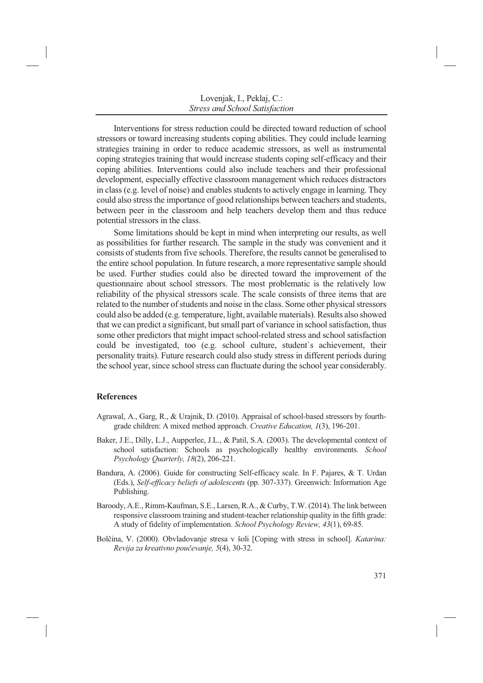Interventions for stress reduction could be directed toward reduction of school stressors or toward increasing students coping abilities. They could include learning strategies training in order to reduce academic stressors, as well as instrumental coping strategies training that would increase students coping self-efficacy and their coping abilities. Interventions could also include teachers and their professional development, especially effective classroom management which reduces distractors in class (e.g. level of noise) and enables students to actively engage in learning. They could also stress the importance of good relationships between teachers and students, between peer in the classroom and help teachers develop them and thus reduce potential stressors in the class.

Some limitations should be kept in mind when interpreting our results, as well as possibilities for further research. The sample in the study was convenient and it consists of students from five schools. Therefore, the results cannot be generalised to the entire school population. In future research, a more representative sample should be used. Further studies could also be directed toward the improvement of the questionnaire about school stressors. The most problematic is the relatively low reliability of the physical stressors scale. The scale consists of three items that are related to the number of students and noise in the class. Some other physical stressors could also be added (e.g. temperature, light, available materials). Results also showed that we can predict a significant, but small part of variance in school satisfaction, thus some other predictors that might impact school-related stress and school satisfaction could be investigated, too (e.g. school culture, student`s achievement, their personality traits). Future research could also study stress in different periods during the school year, since school stress can fluctuate during the school year considerably.

### **References**

- Agrawal, A., Garg, R., & Urajnik, D. (2010). Appraisal of school-based stressors by fourthgrade children: A mixed method approach. *Creative Education, 1*(3), 196-201.
- Baker, J.E., Dilly, L.J., Aupperlee, J.L., & Patil, S.A. (2003). The developmental context of school satisfaction: Schools as psychologically healthy environments. *School Psychology Quarterly, 18*(2), 206-221.
- Bandura, A. (2006). Guide for constructing Self-efficacy scale. In F. Pajares, & T. Urdan (Eds.), *Self-efficacy beliefs of adolescents* (pp. 307-337). Greenwich: Information Age Publishing.
- Baroody, A.E., Rimm-Kaufman, S.E., Larsen, R.A., & Curby, T.W. (2014). The link between responsive classroom training and student-teacher relationship quality in the fifth grade: A study of fidelity of implementation. *School Psychology Review, 43*(1), 69-85.
- Bolčina, V. (2000). Obvladovanje stresa v šoli [Coping with stress in school]. *Katarina: Revija za kreativno poučevanje, 5*(4), 30-32.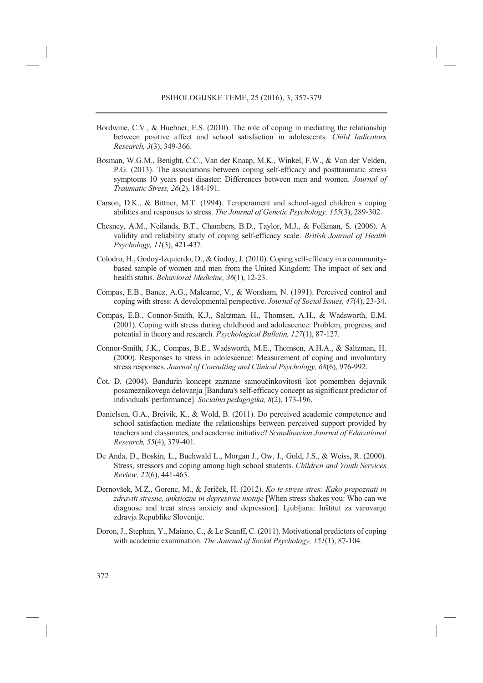- Bordwine, C.V., & Huebner, E.S. (2010). The role of coping in mediating the relationship between positive affect and school satisfaction in adolescents. *Child Indicators Research, 3*(3), 349-366.
- Bosman, W.G.M., Benight, C.C., Van der Knaap, M.K., Winkel, F.W., & Van der Velden, P.G. (2013). The associations between coping self-efficacy and posttraumatic stress symptoms 10 years post disaster: Differences between men and women. *Journal of Traumatic Stress, 26*(2), 184-191.
- Carson, D.K., & Bittner, M.T. (1994). Temperament and school-aged children s coping abilities and responses to stress. *The Journal of Genetic Psychology, 155*(3), 289-302.
- Chesney, A.M., Neilands, B.T., Chambers, B.D., Taylor, M.J., & Folkman, S. (2006). A validity and reliability study of coping self-efficacy scale. *British Journal of Health Psychology, 11*(3), 421-437.
- Colodro, H., Godoy-Izquierdo, D., & Godoy, J. (2010). Coping self-efficacy in a communitybased sample of women and men from the United Kingdom: The impact of sex and health status. *Behavioral Medicine, 36*(1), 12-23.
- Compas, E.B., Banez, A.G., Malcarne, V., & Worsham, N. (1991). Perceived control and coping with stress: A developmental perspective. *Journal of Social Issues, 47*(4), 23-34.
- Compas, E.B., Connor-Smith, K.J., Saltzman, H., Thomsen, A.H., & Wadsworth, E.M. (2001). Coping with stress during childhood and adolescence: Problem, progress, and potential in theory and research. *Psychological Bulletin, 127*(1), 87-127.
- Connor-Smith, J.K., Compas, B.E., Wadsworth, M.E., Thomsen, A.H.A., & Saltzman, H. (2000). Responses to stress in adolescence: Measurement of coping and involuntary stress responses. *Journal of Consulting and Clinical Psychology, 68*(6), 976-992.
- Čot, D. (2004). Bandurin koncept zaznane samoučinkovitosti kot pomemben dejavnik posameznikovega delovanja [Bandura's self-efficacy concept as significant predictor of individuals' performance]. *Socialna pedagogika, 8*(2), 173-196.
- Danielsen, G.A., Breivik, K., & Wold, B. (2011). Do perceived academic competence and school satisfaction mediate the relationships between perceived support provided by teachers and classmates, and academic initiative? *Scandinavian Journal of Educational Research, 55*(4), 379-401.
- De Anda, D., Boskin, L., Buchwald L., Morgan J., Ow, J., Gold, J.S., & Weiss, R. (2000). Stress, stressors and coping among high school students. *Children and Youth Services Review, 22*(6), 441-463.
- Dernovšek, M.Z., Gorenc, M., & Jeriček, H. (2012). *Ko te strese stres: Kako prepoznati in zdraviti stresne, anksiozne in depresivne motnje* [When stress shakes you: Who can we diagnose and treat stress anxiety and depression]. Ljubljana: Inštitut za varovanje zdravja Republike Slovenije.
- Doron, J., Stephan, Y., Maiano, C., & Le Scanff, C. (2011). Motivational predictors of coping with academic examination. *The Journal of Social Psychology, 151*(1), 87-104.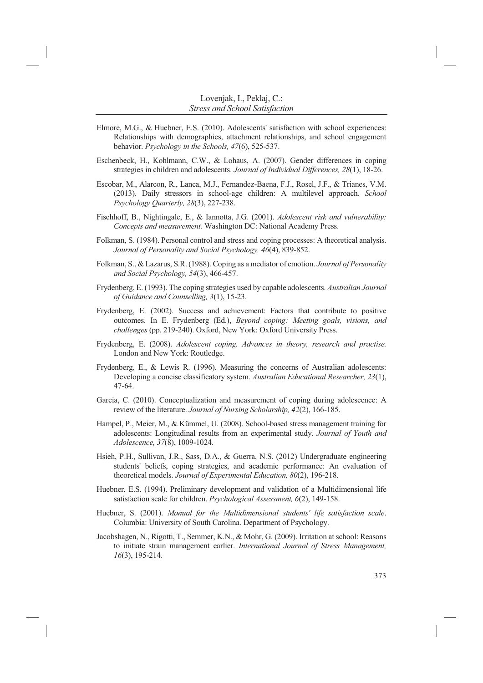- Elmore, M.G., & Huebner, E.S. (2010). Adolescents' satisfaction with school experiences: Relationships with demographics, attachment relationships, and school engagement behavior. *Psychology in the Schools, 47*(6), 525-537.
- Eschenbeck, H., Kohlmann, C.W., & Lohaus, A. (2007). Gender differences in coping strategies in children and adolescents. *Journal of Individual Differences, 28*(1), 18-26.
- Escobar, M., Alarcon, R., Lanca, M.J., Fernandez-Baena, F.J., Rosel, J.F., & Trianes, V.M. (2013). Daily stressors in school-age children: A multilevel approach. *School Psychology Quarterly, 28*(3), 227-238.
- Fischhoff, B., Nightingale, E., & Iannotta, J.G. (2001). *Adolescent risk and vulnerability: Concepts and measurement.* Washington DC: National Academy Press.
- Folkman, S. (1984). Personal control and stress and coping processes: A theoretical analysis. *Journal of Personality and Social Psychology, 46*(4), 839-852.
- Folkman, S., & Lazarus, S.R. (1988). Coping as a mediator of emotion. *Journal of Personality and Social Psychology, 54*(3), 466-457.
- Frydenberg, E. (1993). The coping strategies used by capable adolescents. *Australian Journal of Guidance and Counselling, 3*(1), 15-23.
- Frydenberg, E. (2002). Success and achievement: Factors that contribute to positive outcomes. In E. Frydenberg (Ed.), *Beyond coping: Meeting goals, visions, and challenges* (pp. 219-240). Oxford, New York: Oxford University Press.
- Frydenberg, E. (2008). *Adolescent coping. Advances in theory, research and practise.* London and New York: Routledge.
- Frydenberg, E., & Lewis R. (1996). Measuring the concerns of Australian adolescents: Developing a concise classificatory system. *Australian Educational Researcher, 23*(1), 47-64.
- Garcia, C. (2010). Conceptualization and measurement of coping during adolescence: A review of the literature. *Journal of Nursing Scholarship, 42*(2), 166-185.
- Hampel, P., Meier, M., & Kümmel, U. (2008). School-based stress management training for adolescents: Longitudinal results from an experimental study. *Journal of Youth and Adolescence, 37*(8), 1009-1024.
- Hsieh, P.H., Sullivan, J.R., Sass, D.A., & Guerra, N.S. (2012) Undergraduate engineering students' beliefs, coping strategies, and academic performance: An evaluation of theoretical models. *Journal of Experimental Education, 80*(2), 196-218.
- Huebner, E.S. (1994). Preliminary development and validation of a Multidimensional life satisfaction scale for children. *Psychological Assessment, 6*(2), 149-158.
- Huebner, S. (2001). *Manual for the Multidimensional students' life satisfaction scale*. Columbia: University of South Carolina. Department of Psychology.
- Jacobshagen, N., Rigotti, T., Semmer, K.N., & Mohr, G. (2009). Irritation at school: Reasons to initiate strain management earlier. *International Journal of Stress Management, 16*(3), 195-214.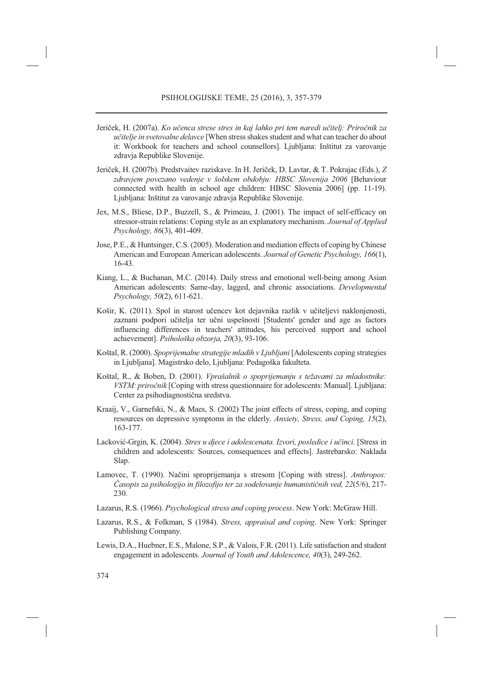- Jeriček, H. (2007a). *Ko učenca strese stres in kaj lahko pri tem naredi učitelj: Priročnik za učitelje in svetovalne delavce* [When stress shakes student and what can teacher do about it: Workbook for teachers and school counsellors]. Ljubljana: Inštitut za varovanje zdravja Republike Slovenije.
- Jeriček, H. (2007b). Predstvaitev raziskave. In H. Jeriček, D. Lavtar, & T. Pokrajac (Eds.), *Z zdravjem povezano vedenje v šolskem obdobju: HBSC Slovenija 2006* [Behaviour connected with health in school age children: HBSC Slovenia 2006] (pp. 11-19). Ljubljana: Inštitut za varovanje zdravja Republike Slovenije.
- Jex, M.S., Bliese, D.P., Buzzell, S., & Primeau, J. (2001). The impact of self-efficacy on stressor-strain relations: Coping style as an explanatory mechanism. *Journal of Applied Psychology, 86*(3), 401-409.
- Jose, P.E., & Huntsinger, C.S. (2005). Moderation and mediation effects of coping by Chinese American and European American adolescents. *Journal of Genetic Psychology, 166*(1), 16-43.
- Kiang, L., & Buchanan, M.C. (2014). Daily stress and emotional well-being among Asian American adolescents: Same-day, lagged, and chronic associations. *Developmental Psychology, 50*(2), 611-621.
- Košir, K. (2011). Spol in starost učencev kot dejavnika razlik v učiteljevi naklonjenosti, zaznani podpori učitelja ter učni uspešnosti [Students' gender and age as factors influencing differences in teachers' attitudes, his perceived support and school achievement]. *Psihološka obzorja, 20*(3), 93-106.
- Koštal, R. (2000). *Spoprijemalne strategije mladih v Ljubljani* [Adolescents coping strategies in Ljubljana]. Magistrsko delo, Ljubljana: Pedagoška fakulteta.
- Koštal, R., & Boben, D. (2001). *Vprašalnik o spoprijemanju s težavami za mladostnike: VSTM: priročnik* [Coping with stress questionnaire for adolescents: Manual]. Ljubljana: Center za psihodiagnostična sredstva.
- Kraaij, V., Garnefski, N., & Maes, S. (2002) The joint effects of stress, coping, and coping resources on depressive symptoms in the elderly. *Anxiety, Stress, and Coping, 15*(2), 163-177.
- Lacković-Grgin, K. (2004). *Stres u djece i adolescenata. Izvori, posledice i učinci*. [Stress in children and adolescents: Sources, consequences and effects]. Jastrebarsko: Naklada Slap.
- Lamovec, T. (1990). Načini sproprijemanja s stresom [Coping with stress]. *Anthropos: Časopis za psihologijo in filozofijo ter za sodelovanje humanističnih ved, 22*(5/6), 217- 230.
- Lazarus, R.S. (1966). *Psychological stress and coping process*. New York: McGraw Hill.
- Lazarus, R.S., & Folkman, S (1984). *Stress, appraisal and coping*. New York: Springer Publishing Company.
- Lewis, D.A., Huebner, E.S., Malone, S.P., & Valois, F.R. (2011). Life satisfaction and student engagement in adolescents. *Journal of Youth and Adolescence, 40*(3), 249-262.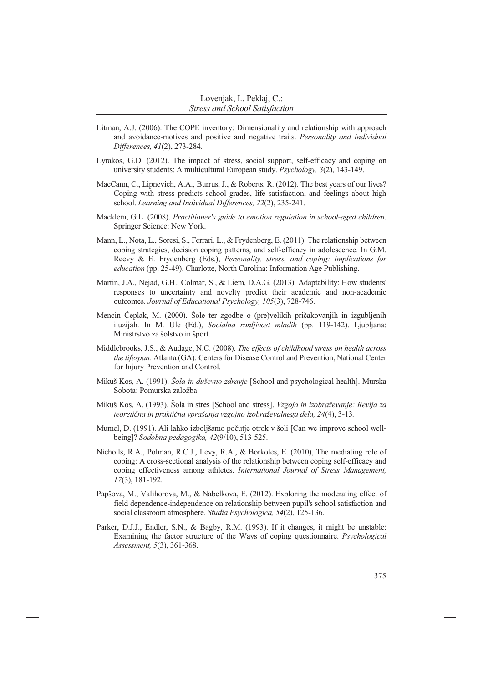- Litman, A.J. (2006). The COPE inventory: Dimensionality and relationship with approach and avoidance-motives and positive and negative traits. *Personality and Individual Differences, 41*(2), 273-284.
- Lyrakos, G.D. (2012). The impact of stress, social support, self-efficacy and coping on university students: A multicultural European study. *Psychology, 3*(2), 143-149.
- MacCann, C., Lipnevich, A.A., Burrus, J., & Roberts, R. (2012). The best years of our lives? Coping with stress predicts school grades, life satisfaction, and feelings about high school. *Learning and Individual Differences, 22*(2), 235-241.
- Macklem, G.L. (2008). *Practitioner's guide to emotion regulation in school-aged children*. Springer Science: New York.
- Mann, L., Nota, L., Soresi, S., Ferrari, L., & Frydenberg, E. (2011). The relationship between coping strategies, decision coping patterns, and self-efficacy in adolescence. In G.M. Reevy & E. Frydenberg (Eds.), *Personality, stress, and coping: Implications for education* (pp. 25-49). Charlotte, North Carolina: Information Age Publishing.
- Martin, J.A., Nejad, G.H., Colmar, S., & Liem, D.A.G. (2013). Adaptability: How students' responses to uncertainty and novelty predict their academic and non-academic outcomes. *Journal of Educational Psychology, 105*(3), 728-746.
- Mencin Čeplak, M. (2000). Šole ter zgodbe o (pre)velikih pričakovanjih in izgubljenih iluzijah. In M. Ule (Ed.), *Socialna ranljivost mladih* (pp. 119-142). Ljubljana: Ministrstvo za šolstvo in šport.
- Middlebrooks, J.S., & Audage, N.C. (2008). *The effects of childhood stress on health across the lifespan*. Atlanta (GA): Centers for Disease Control and Prevention, National Center for Injury Prevention and Control.
- Mikuš Kos, A. (1991). *Šola in duševno zdravje* [School and psychological health]. Murska Sobota: Pomurska založba.
- Mikuš Kos, A. (1993). Šola in stres [School and stress]. *Vzgoja in izobraževanje: Revija za teoretična in praktična vprašanja vzgojno izobraževalnega dela, 24*(4), 3-13*.*
- Mumel, D. (1991). Ali lahko izboljšamo počutje otrok v šoli [Can we improve school wellbeing]? *Sodobna pedagogika, 42*(9/10), 513-525.
- Nicholls, R.A., Polman, R.C.J., Levy, R.A., & Borkoles, E. (2010), The mediating role of coping: A cross-sectional analysis of the relationship between coping self-efficacy and coping effectiveness among athletes. *International Journal of Stress Management, 17*(3), 181-192.
- Papšova, M., Valihorova, M., & Nabelkova, E. (2012). Exploring the moderating effect of field dependence-independence on relationship between pupil's school satisfaction and social classroom atmosphere. *Studia Psychologica, 54*(2), 125-136.
- Parker, D.J.J., Endler, S.N., & Bagby, R.M. (1993). If it changes, it might be unstable: Examining the factor structure of the Ways of coping questionnaire. *Psychological Assessment, 5*(3), 361-368.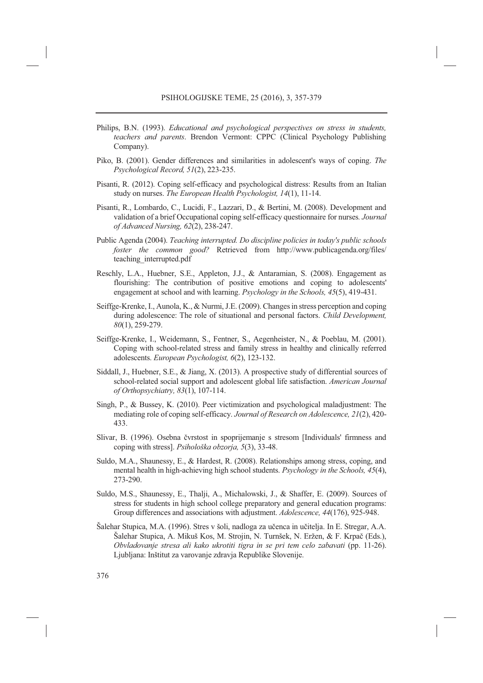- Philips, B.N. (1993). *Educational and psychological perspectives on stress in students, teachers and parents*. Brendon Vermont: CPPC (Clinical Psychology Publishing Company).
- Piko, B. (2001). Gender differences and similarities in adolescent's ways of coping. *The Psychological Record, 51*(2), 223-235.
- Pisanti, R. (2012). Coping self-efficacy and psychological distress: Results from an Italian study on nurses. *The European Health Psychologist, 14*(1), 11-14.
- Pisanti, R., Lombardo, C., Lucidi, F., Lazzari, D., & Bertini, M. (2008). Development and validation of a brief Occupational coping self-efficacy questionnaire for nurses*. Journal of Advanced Nursing, 62*(2), 238-247.
- Public Agenda (2004). *Teaching interrupted. Do discipline policies in today's public schools foster the common good?* Retrieved from http://www.publicagenda.org/files/ teaching\_interrupted.pdf
- Reschly, L.A., Huebner, S.E., Appleton, J.J., & Antaramian, S. (2008). Engagement as flourishing: The contribution of positive emotions and coping to adolescents' engagement at school and with learning. *Psychology in the Schools, 45*(5), 419-431.
- Seiffge-Krenke, I., Aunola, K., & Nurmi, J.E. (2009). Changes in stress perception and coping during adolescence: The role of situational and personal factors. *Child Development, 80*(1), 259-279.
- Seiffge-Krenke, I., Weidemann, S., Fentner, S., Aegenheister, N., & Poeblau, M. (2001). Coping with school-related stress and family stress in healthy and clinically referred adolescents. *European Psychologist, 6*(2), 123-132.
- Siddall, J., Huebner, S.E., & Jiang, X. (2013). A prospective study of differential sources of school-related social support and adolescent global life satisfaction. *American Journal of Orthopsychiatry, 83*(1), 107-114.
- Singh, P., & Bussey, K. (2010). Peer victimization and psychological maladjustment: The mediating role of coping self-efficacy. *Journal of Research on Adolescence, 21*(2), 420- 433.
- Slivar, B. (1996). Osebna čvrstost in spoprijemanje s stresom [Individuals' firmness and coping with stress]. *Psihološka obzorja, 5*(3), 33-48.
- Suldo, M.A., Shaunessy, E., & Hardest, R. (2008). Relationships among stress, coping, and mental health in high-achieving high school students. *Psychology in the Schools, 45*(4), 273-290.
- Suldo, M.S., Shaunessy, E., Thalji, A., Michalowski, J., & Shaffer, E. (2009). Sources of stress for students in high school college preparatory and general education programs: Group differences and associations with adjustment. *Adolescence, 44*(176), 925-948.
- Šalehar Stupica, M.A. (1996). Stres v šoli, nadloga za učenca in učitelja. In E. Stregar, A.A. Šalehar Stupica, A. Mikuš Kos, M. Strojin, N. Turnšek, N. Eržen, & F. Krpač (Eds.), *Obvladovanje stresa ali kako ukrotiti tigra in se pri tem celo zabavati* (pp. 11-26). Ljubljana: Inštitut za varovanje zdravja Republike Slovenije.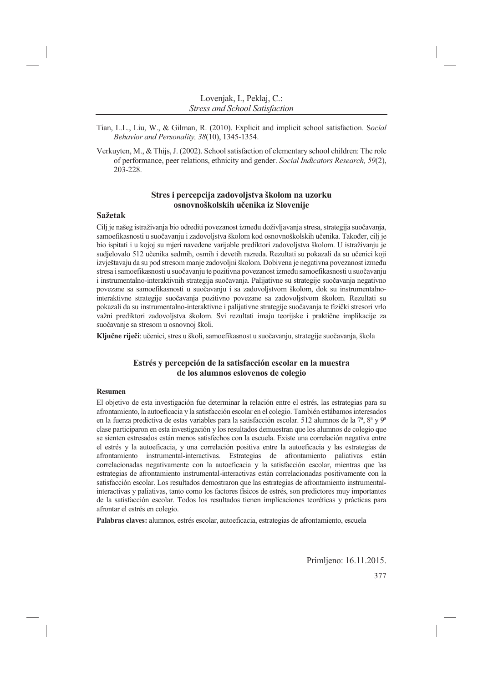- Tian, L.L., Liu, W., & Gilman, R. (2010). Explicit and implicit school satisfaction. S*ocial Behavior and Personality, 38*(10), 1345-1354.
- Verkuyten, M., & Thijs, J. (2002). School satisfaction of elementary school children: The role of performance, peer relations, ethnicity and gender. *Social Indicators Research, 59*(2), 203-228.

# **Stres i percepcija zadovoljstva školom na uzorku osnovnoškolskih učenika iz Slovenije**

## **Sažetak**

Cilj je našeg istraživanja bio odrediti povezanost između doživljavanja stresa, strategija suočavanja, samoefikasnosti u suočavanju i zadovoljstva školom kod osnovnoškolskih učenika. Također, cilj je bio ispitati i u kojoj su mjeri navedene varijable prediktori zadovoljstva školom. U istraživanju je sudjelovalo 512 učenika sedmih, osmih i devetih razreda. Rezultati su pokazali da su učenici koji izvještavaju da su pod stresom manje zadovoljni školom. Dobivena je negativna povezanost između stresa i samoefikasnosti u suočavanju te pozitivna povezanost između samoefikasnosti u suočavanju i instrumentalno-interaktivnih strategija suočavanja. Palijativne su strategije suočavanja negativno povezane sa samoefikasnosti u suočavanju i sa zadovoljstvom školom, dok su instrumentalnointeraktivne strategije suočavanja pozitivno povezane sa zadovoljstvom školom. Rezultati su pokazali da su instrumentalno-interaktivne i palijativne strategije suočavanja te fizički stresori vrlo važni prediktori zadovoljstva školom. Svi rezultati imaju teorijske i praktične implikacije za suočavanje sa stresom u osnovnoj školi.

**Ključne riječi**: učenici, stres u školi, samoefikasnost u suočavanju, strategije suočavanja, škola

# **Estrés y percepción de la satisfacción escolar en la muestra de los alumnos eslovenos de colegio**

#### **Resumen**

El objetivo de esta investigación fue determinar la relación entre el estrés, las estrategias para su afrontamiento, la autoeficacia y la satisfacción escolar en el colegio. También estábamos interesados en la fuerza predictiva de estas variables para la satisfacción escolar. 512 alumnos de la 7<sup>a</sup>, 8<sup>a</sup> y 9<sup>a</sup> clase participaron en esta investigación y los resultados demuestran que los alumnos de colegio que se sienten estresados están menos satisfechos con la escuela. Existe una correlación negativa entre el estrés y la autoeficacia, y una correlación positiva entre la autoeficacia y las estrategias de afrontamiento instrumental-interactivas. Estrategias de afrontamiento paliativas están correlacionadas negativamente con la autoeficacia y la satisfacción escolar, mientras que las estrategias de afrontamiento instrumental-interactivas están correlacionadas positivamente con la satisfacción escolar. Los resultados demostraron que las estrategias de afrontamiento instrumentalinteractivas y paliativas, tanto como los factores físicos de estrés, son predictores muy importantes de la satisfacción escolar. Todos los resultados tienen implicaciones teoréticas y prácticas para afrontar el estrés en colegio.

**Palabras claves:** alumnos, estrés escolar, autoeficacia, estrategias de afrontamiento, escuela

Primljeno: 16.11.2015.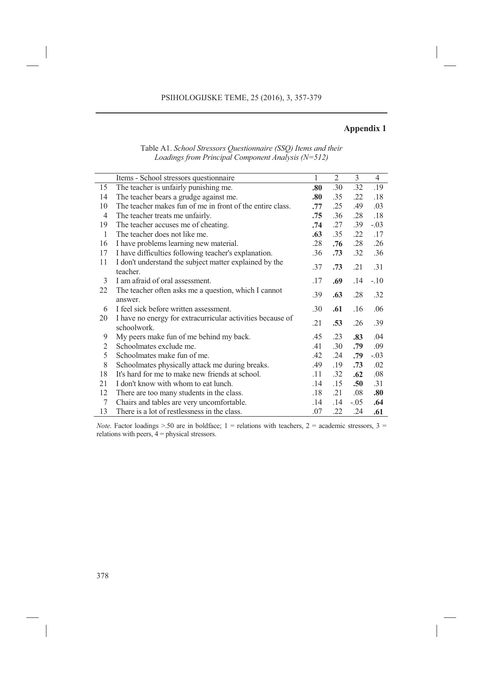# **Appendix 1**

|                | Items - School stressors questionnaire                                    | $\mathbf{1}$ | 2   | 3                | $\overline{4}$ |
|----------------|---------------------------------------------------------------------------|--------------|-----|------------------|----------------|
| 15             | The teacher is unfairly punishing me.                                     | .80          | .30 | .32              | .19            |
| 14             | The teacher bears a grudge against me.                                    | .80          | .35 | .22              | .18            |
| 10             | The teacher makes fun of me in front of the entire class.                 | .77          | .25 | .49              | .03            |
| $\overline{4}$ | The teacher treats me unfairly.                                           | .75          | .36 | .28              | .18            |
| 19             | The teacher accuses me of cheating.                                       | .74          | .27 | .39              | $-.03$         |
| 1              | The teacher does not like me.                                             | .63          | .35 | .22              | .17            |
| 16             | I have problems learning new material.                                    | .28          | .76 | .28              | .26            |
| 17             | I have difficulties following teacher's explanation.                      | .36          | .73 | .32              | .36            |
| 11             | I don't understand the subject matter explained by the<br>teacher.        | .37          | .73 | .21              | .31            |
| 3              | I am afraid of oral assessment.                                           | .17          | .69 | .14              | $-.10$         |
| 22             | The teacher often asks me a question, which I cannot<br>answer.           | .39          | .63 | .28              | .32            |
| 6              | I feel sick before written assessment.                                    | .30          | .61 | .16              | .06            |
| 20             | I have no energy for extracurricular activities because of<br>schoolwork. | .21          | .53 | .26              | .39            |
| 9              | My peers make fun of me behind my back.                                   | .45          | .23 | .83              | .04            |
| 2              | Schoolmates exclude me.                                                   | .41          | .30 | .79              | .09            |
| 5              | Schoolmates make fun of me.                                               | .42          | .24 | .79              | $-.03$         |
| $\,$ 8 $\,$    | Schoolmates physically attack me during breaks.                           | .49          | .19 | .73              | .02            |
| 18             | It's hard for me to make new friends at school.                           | .11          | .32 | .62              | .08            |
| 21             | I don't know with whom to eat lunch.                                      | .14          | .15 | .50 <sub>1</sub> | .31            |
| 12             | There are too many students in the class.                                 | .18          | .21 | .08              | .80            |
| $\tau$         | Chairs and tables are very uncomfortable.                                 | .14          | .14 | $-.05$           | .64            |
| 13             | There is a lot of restlessness in the class.                              | .07          | .22 | .24              | .61            |

Table A1. *School Stressors Questionnaire (SSQ) Items and their Loadings from Principal Component Analysis (N=512)* 

*Note*. Factor loadings  $> 50$  are in boldface; 1 = relations with teachers, 2 = academic stressors, 3 = relations with peers,  $4 =$  physical stressors.